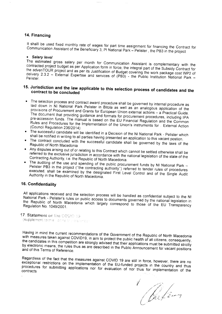#### 14. Financing

It shalll be used fixed monthly rate of wages for part time assignment for financing the Contract for Communication Assistant of the Beneficiary 3, PI National Park - Pelister, the PB3 in the project

### • Salary level

The estimated gross salary per month for Communication Assistant is complementary with the contracted project budget as per Application form in force, the integral part of the Subsidy Contract for the advenTOUR project and as per its Justification of Budget covering the work package cost WP2 of delivery 2.3.2 - External Expertise and services of (PB3) - the Public Institution National Park -Pelister.

# 15. Jurisdiction and the law applicable to this selection process of candidates and the contract to be concluded

- The selection process and contract award procedure shall be governed by internal procedure as laid down in NI National Park Pelister in Bitola as well as an analogous application of the provisions of Procurement and Grants for European Union external actions - a Practical Guide. The document that providing guidance and formats for procurement procedures, including IPA pre-accession funds. The manual is based on the EU Financial Regulation and the Common Rules and Procedures for the Implementation of the Union's instruments for External Action (Council Regulation 236/2014)
- The successful candidate will be identified in a Decision of the NI National Park Pelister which shall be notified in writing to all parties having presented an application to this vacant postion.
- . The contract concluded with the successful candidate shall be governed by the laws of the Republic of North Macedonia
- Any disputes arising out of or relating to this Contract which cannot be settled otherwise shall be referred to the exclusive jurisdiction in accordance with the national legislation of the state of the Contracting Authority, i.e. the Republic of North Macedonia.
- The auditing of the use and spending of the public procurement funds by NI National Park -Pelister PB3 in the project ("the contracting authority") referred to tender rules of procedures executed, shall be examined by the designated First Level Control and of the Single Audit Authority in the Republic of North Macedonia.

# 16. Confidentiality

All applications received and the selection process will be handled as confidential subject to the NI National Park - Pelister's rules on public access to documents governed by the national legislation in the Republic of North Macedonia which largely correspond to those of the EU Transparency Regulation No. 1049/2001.

17. Statement on the COVID-19 (supplement to this lighting of the exignation

Having in mind the current recommendations of the Government of the Republic of North Macedonia with measures taken against COVID19, in aim to protect the public health of all citizens, consequently, the candidates in this competition are strongly advised that their applications must be submitted strictly by electronic means, the rules thus as are described in the Public Announcement for vacant positions and of this Terms of Reference.

Regardless of the fact that the measures against COVID 19 are still in force, however, there are no exceptional restrictions on the implementation of the EU-funded projects in the country and thus procedures for submitting applications nor for evaluation of nor thus for implementation of the contracts

Bleed